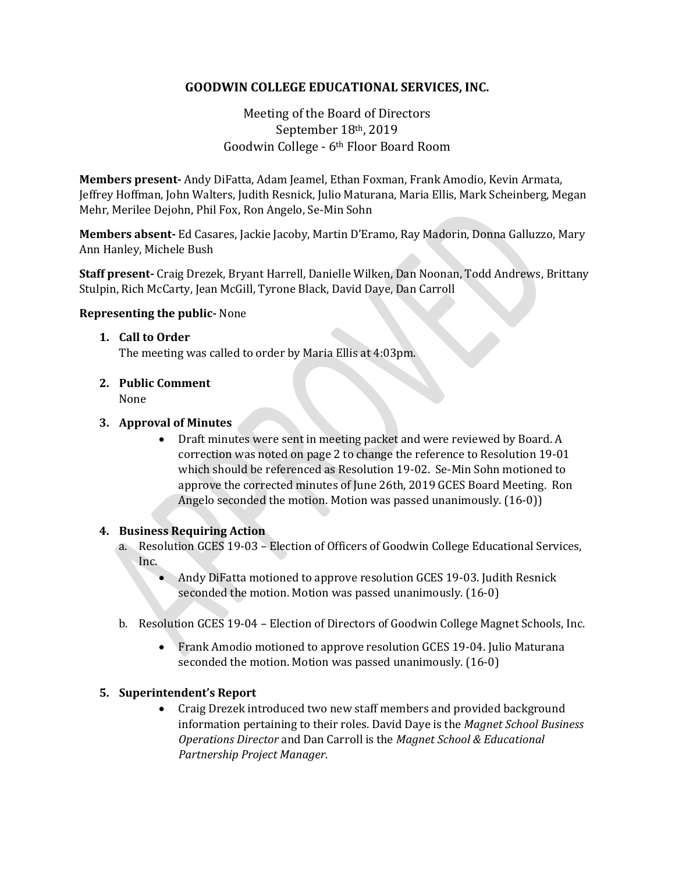## **GOODWIN COLLEGE EDUCATIONAL SERVICES, INC.**

# Meeting of the Board of Directors September 18th, 2019 Goodwin College - 6th Floor Board Room

**Members present-** Andy DiFatta, Adam Jeamel, Ethan Foxman, Frank Amodio, Kevin Armata, Jeffrey Hoffman, John Walters, Judith Resnick, Julio Maturana, Maria Ellis, Mark Scheinberg, Megan Mehr, Merilee Dejohn, Phil Fox, Ron Angelo, Se-Min Sohn

**Members absent-** Ed Casares, Jackie Jacoby, Martin D'Eramo, Ray Madorin, Donna Galluzzo, Mary Ann Hanley, Michele Bush

**Staff present-** Craig Drezek, Bryant Harrell, Danielle Wilken, Dan Noonan, Todd Andrews, Brittany Stulpin, Rich McCarty, Jean McGill, Tyrone Black, David Daye, Dan Carroll

### **Representing the public-** None

### **1. Call to Order**

The meeting was called to order by Maria Ellis at 4:03pm.

**2. Public Comment** None

### **3. Approval of Minutes**

• Draft minutes were sent in meeting packet and were reviewed by Board. A correction was noted on page 2 to change the reference to Resolution 19-01 which should be referenced as Resolution 19-02. Se-Min Sohn motioned to approve the corrected minutes of June 26th, 2019 GCES Board Meeting. Ron Angelo seconded the motion. Motion was passed unanimously. (16-0))

#### **4. Business Requiring Action**

- a. Resolution GCES 19-03 Election of Officers of Goodwin College Educational Services, Inc.
	- Andy DiFatta motioned to approve resolution GCES 19-03. Judith Resnick seconded the motion. Motion was passed unanimously. (16-0)
- b. Resolution GCES 19-04 Election of Directors of Goodwin College Magnet Schools, Inc.
	- Frank Amodio motioned to approve resolution GCES 19-04. Julio Maturana seconded the motion. Motion was passed unanimously. (16-0)

#### **5. Superintendent's Report**

• Craig Drezek introduced two new staff members and provided background information pertaining to their roles. David Daye is the *Magnet School Business Operations Director* and Dan Carroll is the *Magnet School & Educational Partnership Project Manager*.